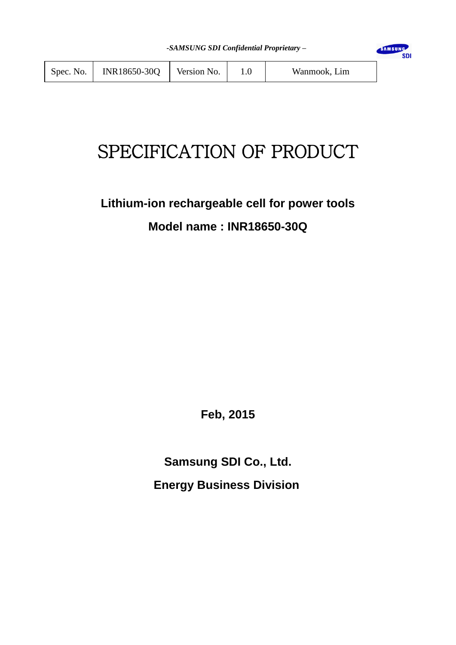SAMSUNG

**SDI** 

| Spec. No. $\vert$ | INR18650-30Q | Version No. |  | Wanmook, Lim |
|-------------------|--------------|-------------|--|--------------|
|-------------------|--------------|-------------|--|--------------|

# SPECIFICATION OF PRODUCT

# **Lithium-ion rechargeable cell for power tools Model name : INR18650-30Q**

**Feb, 2015**

**Samsung SDI Co., Ltd. Energy Business Division**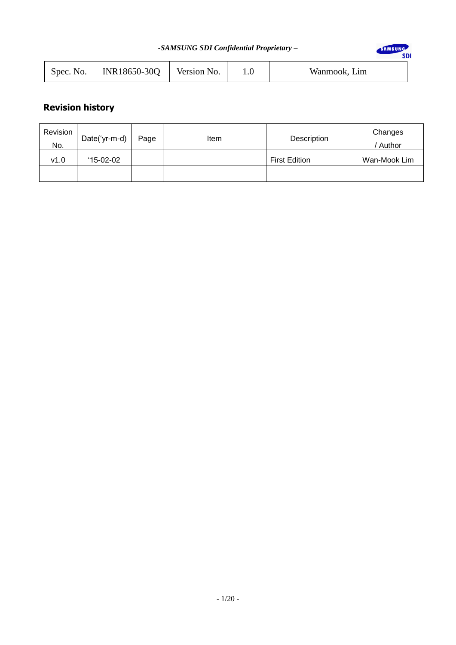| -SAMSUNG SDI Confidential Proprietary - |           |              |             |         |              | SAMSUNG |
|-----------------------------------------|-----------|--------------|-------------|---------|--------------|---------|
|                                         | Spec. No. | INR18650-30Q | Version No. | $1.0\,$ | Wanmook, Lim |         |

# **Revision history**

| Revision | Date('yr-m-d) | Page | Item | Description          | Changes      |
|----------|---------------|------|------|----------------------|--------------|
| No.      |               |      |      |                      | ' Author     |
| v1.0     | $15-02-02$    |      |      | <b>First Edition</b> | Wan-Mook Lim |
|          |               |      |      |                      |              |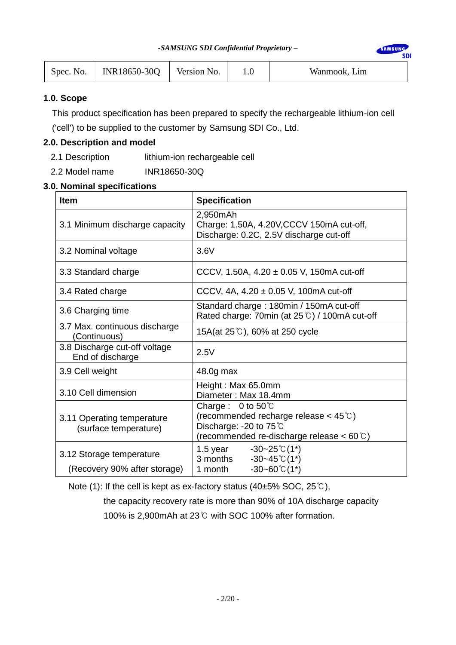SAMSUNG

**SDI** 

| Spec. No. | INR18650-30Q | Version No. |  | Wanmook, Lim |
|-----------|--------------|-------------|--|--------------|
|-----------|--------------|-------------|--|--------------|

# **1.0. Scope**

This product specification has been prepared to specify the rechargeable lithium-ion cell

('cell') to be supplied to the customer by Samsung SDI Co., Ltd.

# **2.0. Description and model**

- 2.1 Description lithium-ion rechargeable cell
- 2.2 Model name INR18650-30Q

# **3.0. Nominal specifications**

| <b>Item</b>                                         | <b>Specification</b>                                                                                                                                          |
|-----------------------------------------------------|---------------------------------------------------------------------------------------------------------------------------------------------------------------|
| 3.1 Minimum discharge capacity                      | 2,950mAh<br>Charge: 1.50A, 4.20V, CCCV 150mA cut-off,<br>Discharge: 0.2C, 2.5V discharge cut-off                                                              |
| 3.2 Nominal voltage                                 | 3.6V                                                                                                                                                          |
| 3.3 Standard charge                                 | CCCV, 1.50A, $4.20 \pm 0.05$ V, 150mA cut-off                                                                                                                 |
| 3.4 Rated charge                                    | CCCV, 4A, $4.20 \pm 0.05$ V, 100mA cut-off                                                                                                                    |
| 3.6 Charging time                                   | Standard charge: 180min / 150mA cut-off<br>Rated charge: 70min (at 25°C) / 100mA cut-off                                                                      |
| 3.7 Max. continuous discharge<br>(Continuous)       | 15A(at 25℃), 60% at 250 cycle                                                                                                                                 |
| 3.8 Discharge cut-off voltage<br>End of discharge   | 2.5V                                                                                                                                                          |
| 3.9 Cell weight                                     | 48.0g max                                                                                                                                                     |
| 3.10 Cell dimension                                 | Height: Max 65.0mm<br>Diameter: Max 18.4mm                                                                                                                    |
| 3.11 Operating temperature<br>(surface temperature) | Charge: $0$ to $50^{\circ}$ C<br>(recommended recharge release $<$ 45 $\degree$ C)<br>Discharge: -20 to 75 ℃<br>(recommended re-discharge release < 60 $°C$ ) |
| 3.12 Storage temperature                            | 1.5 year $-30-25 \text{ }^{\circ}C(1^*)$<br>$-30-45$ °C(1*)<br>3 months                                                                                       |
| (Recovery 90% after storage)                        | $-30 - 60$ °C (1*)<br>1 month                                                                                                                                 |

Note (1): If the cell is kept as ex-factory status (40±5% SOC, 25℃),

 the capacity recovery rate is more than 90% of 10A discharge capacity 100% is 2,900mAh at 23℃ with SOC 100% after formation.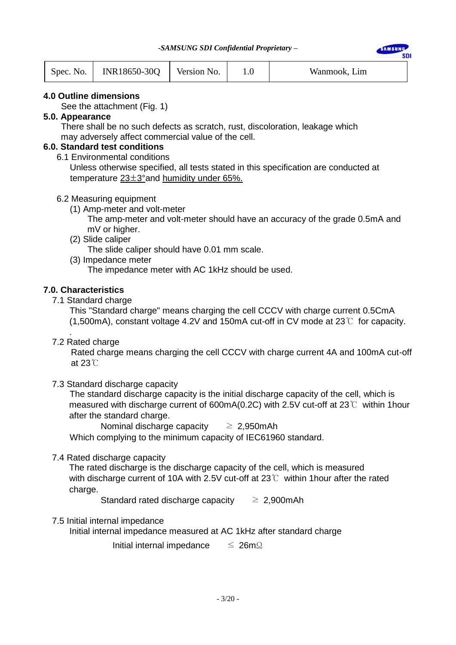EAMCHN

| Spec. No. | INR18650-30Q | Version No. |  | Wanmook, Lim |
|-----------|--------------|-------------|--|--------------|
|-----------|--------------|-------------|--|--------------|

### **4.0 Outline dimensions**

See the attachment (Fig. 1)

### **5.0. Appearance**

 There shall be no such defects as scratch, rust, discoloration, leakage which may adversely affect commercial value of the cell.

# **6.0. Standard test conditions**

6.1 Environmental conditions

 Unless otherwise specified, all tests stated in this specification are conducted at temperature 23±3°and humidity under 65%.

### 6.2 Measuring equipment

(1) Amp-meter and volt-meter

 The amp-meter and volt-meter should have an accuracy of the grade 0.5mA and mV or higher.

- (2) Slide caliper The slide caliper should have 0.01 mm scale.
- (3) Impedance meter

The impedance meter with AC 1kHz should be used.

### **7.0. Characteristics**

7.1 Standard charge

 This "Standard charge" means charging the cell CCCV with charge current 0.5CmA (1,500mA), constant voltage 4.2V and 150mA cut-off in CV mode at 23℃ for capacity.

. 7.2 Rated charge

Rated charge means charging the cell CCCV with charge current 4A and 100mA cut-off at 23℃

# 7.3 Standard discharge capacity

 The standard discharge capacity is the initial discharge capacity of the cell, which is measured with discharge current of 600mA(0.2C) with 2.5V cut-off at 23℃ within 1hour after the standard charge.

Nominal discharge capacity  $\geq 2,950$ mAh

Which complying to the minimum capacity of IEC61960 standard.

### 7.4 Rated discharge capacity

The rated discharge is the discharge capacity of the cell, which is measured with discharge current of 10A with 2.5V cut-off at 23℃ within 1 hour after the rated charge.

Standard rated discharge capacity  $\geq 2,900$ mAh

### 7.5 Initial internal impedance

Initial internal impedance measured at AC 1kHz after standard charge

Initial internal impedance ≤ 26mΩ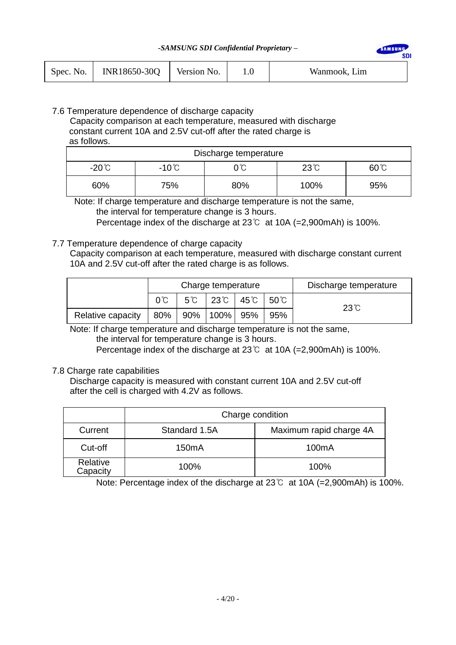SAMSUN

sni

| Spec. No. $\vert$ | INR18650-30Q | Version No. |  | Wanmook, Lim |
|-------------------|--------------|-------------|--|--------------|
|-------------------|--------------|-------------|--|--------------|

### 7.6 Temperature dependence of discharge capacity Capacity comparison at each temperature, measured with discharge constant current 10A and 2.5V cut-off after the rated charge is as follows.

| Discharge temperature |                 |              |              |     |  |  |
|-----------------------|-----------------|--------------|--------------|-----|--|--|
| $-20^{\circ}$ C       | $-10^{\circ}$ C | $23^\circ$ C | $60^{\circ}$ |     |  |  |
| 60%                   | 75%             | 80%          | 100%         | 95% |  |  |

 Note: If charge temperature and discharge temperature is not the same, the interval for temperature change is 3 hours.

Percentage index of the discharge at 23℃ at 10A (=2,900mAh) is 100%.

# 7.7 Temperature dependence of charge capacity

 Capacity comparison at each temperature, measured with discharge constant current 10A and 2.5V cut-off after the rated charge is as follows.

|                   | Charge temperature |  |                                                             |  | Discharge temperature |            |
|-------------------|--------------------|--|-------------------------------------------------------------|--|-----------------------|------------|
|                   |                    |  | $5^{\circ}$   23 $^{\circ}$   45 $^{\circ}$   50 $^{\circ}$ |  |                       | $23^\circ$ |
| Relative capacity | 80%                |  | 90%   100%   95%                                            |  | 95%                   |            |

 Note: If charge temperature and discharge temperature is not the same, the interval for temperature change is 3 hours.

Percentage index of the discharge at 23℃ at 10A (=2,900mAh) is 100%.

### 7.8 Charge rate capabilities

Discharge capacity is measured with constant current 10A and 2.5V cut-off after the cell is charged with 4.2V as follows.

|                      | Charge condition |                         |  |  |  |  |
|----------------------|------------------|-------------------------|--|--|--|--|
| Current              | Standard 1.5A    | Maximum rapid charge 4A |  |  |  |  |
| Cut-off              | 150mA            | 100 <sub>m</sub> A      |  |  |  |  |
| Relative<br>Capacity | 100%             | 100%                    |  |  |  |  |

Note: Percentage index of the discharge at 23℃ at 10A (=2,900mAh) is 100%.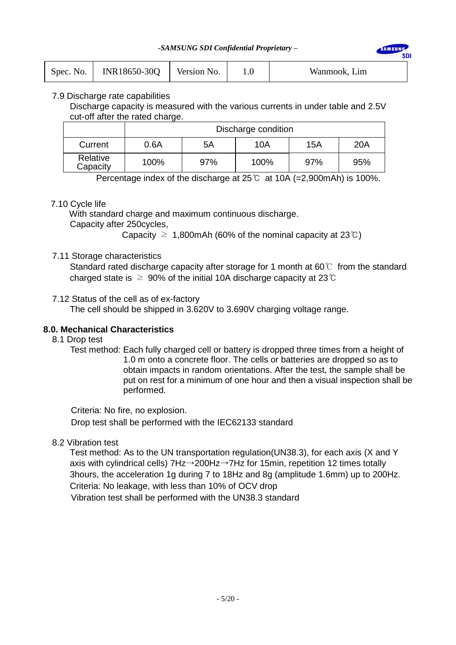**AMSUN** 

|  | Spec. No.   INR18650-30Q   Version No. |  |  | Wanmook, Lim |
|--|----------------------------------------|--|--|--------------|
|--|----------------------------------------|--|--|--------------|

### 7.9 Discharge rate capabilities

Discharge capacity is measured with the various currents in under table and 2.5V cut-off after the rated charge.

|                      | Discharge condition |     |      |     |     |  |  |  |
|----------------------|---------------------|-----|------|-----|-----|--|--|--|
| Current              | 0.6A                | 5A  | 10A  | 15A | 20A |  |  |  |
| Relative<br>Capacity | 100%                | 97% | 100% | 97% | 95% |  |  |  |

Percentage index of the discharge at 25℃ at 10A (=2,900mAh) is 100%.

### 7.10 Cycle life

With standard charge and maximum continuous discharge.

Capacity after 250cycles,

Capacity  $\geq$  1,800mAh (60% of the nominal capacity at 23°C)

### 7.11 Storage characteristics

Standard rated discharge capacity after storage for 1 month at 60 $°C$  from the standard charged state is  $\ge$  90% of the initial 10A discharge capacity at 23℃

### 7.12 Status of the cell as of ex-factory

The cell should be shipped in 3.620V to 3.690V charging voltage range.

### **8.0. Mechanical Characteristics**

- 8.1 Drop test
	- Test method: Each fully charged cell or battery is dropped three times from a height of 1.0 m onto a concrete floor. The cells or batteries are dropped so as to obtain impacts in random orientations. After the test, the sample shall be put on rest for a minimum of one hour and then a visual inspection shall be performed.

Criteria: No fire, no explosion. Drop test shall be performed with the IEC62133 standard

### 8.2 Vibration test

Test method: As to the UN transportation regulation(UN38.3), for each axis (X and Y axis with cylindrical cells) 7Hz→200Hz→7Hz for 15min, repetition 12 times totally 3hours, the acceleration 1g during 7 to 18Hz and 8g (amplitude 1.6mm) up to 200Hz. Criteria: No leakage, with less than 10% of OCV drop Vibration test shall be performed with the UN38.3 standard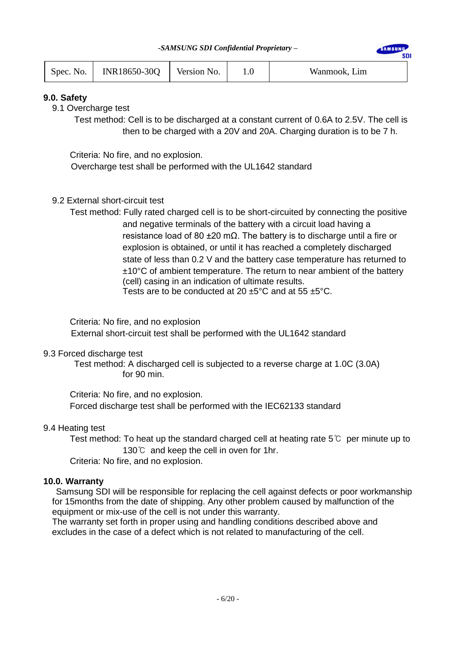**AMSUN** 

| Spec. No. | INR18650-30Q | Version No. |  | Wanmook, Lim |
|-----------|--------------|-------------|--|--------------|
|-----------|--------------|-------------|--|--------------|

# **9.0. Safety**

9.1 Overcharge test

Test method: Cell is to be discharged at a constant current of 0.6A to 2.5V. The cell is then to be charged with a 20V and 20A. Charging duration is to be 7 h.

Criteria: No fire, and no explosion.

Overcharge test shall be performed with the UL1642 standard

# 9.2 External short-circuit test

Test method: Fully rated charged cell is to be short-circuited by connecting the positive and negative terminals of the battery with a circuit load having a resistance load of 80 ±20 mΩ. The battery is to discharge until a fire or explosion is obtained, or until it has reached a completely discharged state of less than 0.2 V and the battery case temperature has returned to ±10°C of ambient temperature. The return to near ambient of the battery (cell) casing in an indication of ultimate results. Tests are to be conducted at 20  $\pm$ 5°C and at 55  $\pm$ 5°C.

 Criteria: No fire, and no explosion External short-circuit test shall be performed with the UL1642 standard

### 9.3 Forced discharge test

Test method: A discharged cell is subjected to a reverse charge at 1.0C (3.0A) for 90 min.

 Criteria: No fire, and no explosion. Forced discharge test shall be performed with the IEC62133 standard

### 9.4 Heating test

Test method: To heat up the standard charged cell at heating rate  $5^\circ\text{C}$  per minute up to 130℃ and keep the cell in oven for 1hr.

Criteria: No fire, and no explosion.

### **10.0. Warranty**

Samsung SDI will be responsible for replacing the cell against defects or poor workmanship for 15months from the date of shipping. Any other problem caused by malfunction of the equipment or mix-use of the cell is not under this warranty.

The warranty set forth in proper using and handling conditions described above and excludes in the case of a defect which is not related to manufacturing of the cell.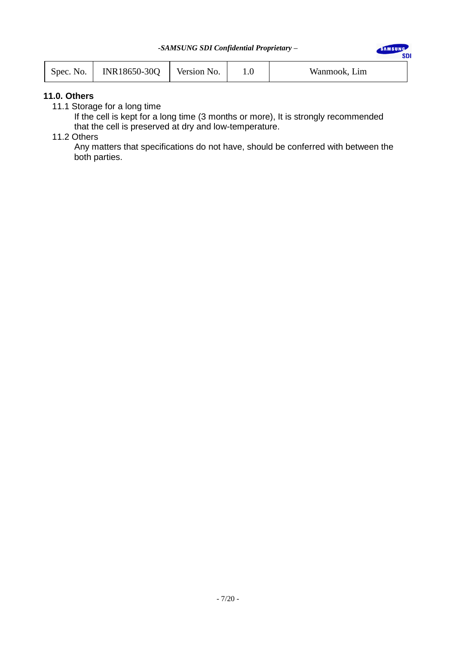SAMSUNG

**SDI** 

| Spec. No. | INR18650-30Q | Version No. |  | Wanmook, Lim |
|-----------|--------------|-------------|--|--------------|
|-----------|--------------|-------------|--|--------------|

### **11.0. Others**

11.1 Storage for a long time

 If the cell is kept for a long time (3 months or more), It is strongly recommended that the cell is preserved at dry and low-temperature.

# 11.2 Others

 Any matters that specifications do not have, should be conferred with between the both parties.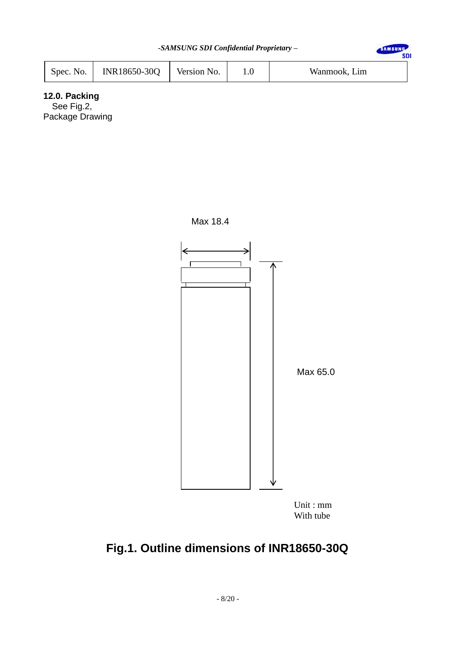| -SAMSUNG SDI Confidential Proprietary - |              |             |         |              |  |  |
|-----------------------------------------|--------------|-------------|---------|--------------|--|--|
| Spec. No.                               | INR18650-30Q | Version No. | $1.0\,$ | Wanmook, Lim |  |  |

Max 18.4

# **12.0. Packing**

See Fig.2, Package Drawing



With tube

# **Fig.1. Outline dimensions of INR18650-30Q**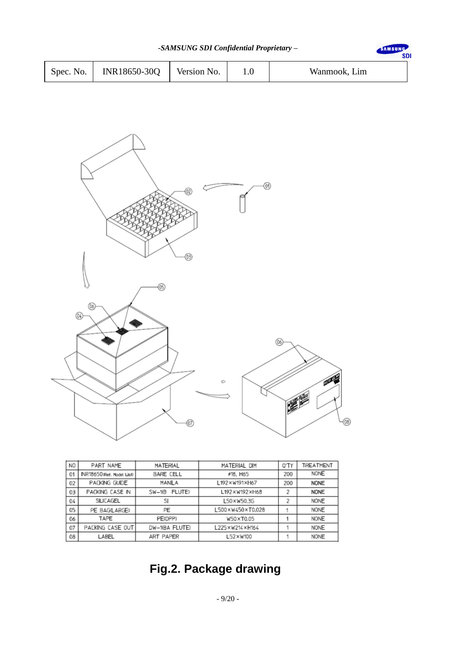| -SAMSUNG SDI Confidential Proprietary - |              |             |  |              |  |  |
|-----------------------------------------|--------------|-------------|--|--------------|--|--|
| Spec. No.                               | INR18650-30Q | Version No. |  | Wanmook, Lim |  |  |



| NO | PART NAME                  | <b>MATERIAL</b>    | MATERIAL DIM     | 0'TY | TREATMENT   |
|----|----------------------------|--------------------|------------------|------|-------------|
| 01 | INR18650 (Ref. Model List) | <b>BARE CELL</b>   | #18, H65         |      | <b>NONE</b> |
| 02 | PACKING GUIDE              | MANILA             | L192×W191×H67    | 200  | <b>NONE</b> |
| 03 | PACKING CASE IN            | FLUTE)<br>$SW-10B$ | L192×W192×H68    | 2    | <b>NONE</b> |
| 04 | SILICAGEL                  | SI                 | L50×W50.3G       |      | <b>NONE</b> |
| 05 | PE BAG(LARGE)              | PE                 | L500×W450×T0.028 |      | <b>NONE</b> |
| 06 | TAPE                       | PE(OPP)            | W50×T0.05        |      | <b>NONE</b> |
| 07 | PACKING CASE OUT           | DW-10BA FLUTE)     | 225×W214×H164    |      | <b>NONE</b> |
| 08 | LABEL                      | ART PAPER          | L52×W100         |      | <b>NONE</b> |
|    |                            |                    |                  |      |             |

# **Fig.2. Package drawing**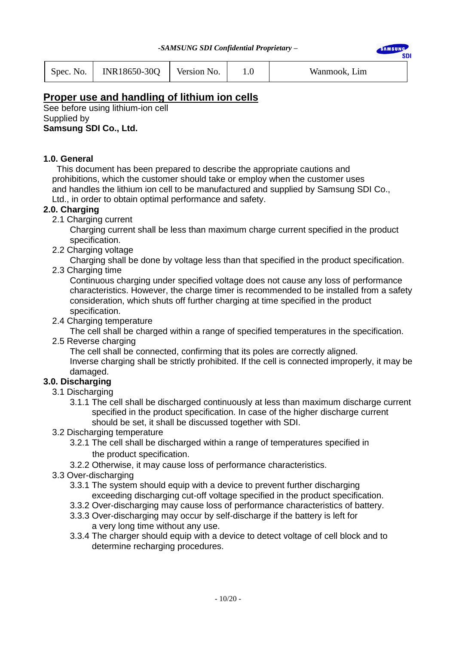**AMSUN SDI** 

| Spec. No. | INR18650-30Q | Version No. |  | Wanmook, Lim |
|-----------|--------------|-------------|--|--------------|
|-----------|--------------|-------------|--|--------------|

# **Proper use and handling of lithium ion cells**

See before using lithium-ion cell Supplied by **Samsung SDI Co., Ltd.**

# **1.0. General**

 This document has been prepared to describe the appropriate cautions and prohibitions, which the customer should take or employ when the customer uses and handles the lithium ion cell to be manufactured and supplied by Samsung SDI Co., Ltd., in order to obtain optimal performance and safety.

# **2.0. Charging**

2.1 Charging current

 Charging current shall be less than maximum charge current specified in the product specification.

2.2 Charging voltage

Charging shall be done by voltage less than that specified in the product specification.

2.3 Charging time

 Continuous charging under specified voltage does not cause any loss of performance characteristics. However, the charge timer is recommended to be installed from a safety consideration, which shuts off further charging at time specified in the product specification.

2.4 Charging temperature

The cell shall be charged within a range of specified temperatures in the specification.

2.5 Reverse charging

 The cell shall be connected, confirming that its poles are correctly aligned. Inverse charging shall be strictly prohibited. If the cell is connected improperly, it may be damaged.

# **3.0. Discharging**

- 3.1 Discharging
	- 3.1.1 The cell shall be discharged continuously at less than maximum discharge current specified in the product specification. In case of the higher discharge current should be set, it shall be discussed together with SDI.
- 3.2 Discharging temperature
	- 3.2.1 The cell shall be discharged within a range of temperatures specified in the product specification.
	- 3.2.2 Otherwise, it may cause loss of performance characteristics.
- 3.3 Over-discharging
	- 3.3.1 The system should equip with a device to prevent further discharging exceeding discharging cut-off voltage specified in the product specification.
	- 3.3.2 Over-discharging may cause loss of performance characteristics of battery.
	- 3.3.3 Over-discharging may occur by self-discharge if the battery is left for a very long time without any use.
	- 3.3.4 The charger should equip with a device to detect voltage of cell block and to determine recharging procedures.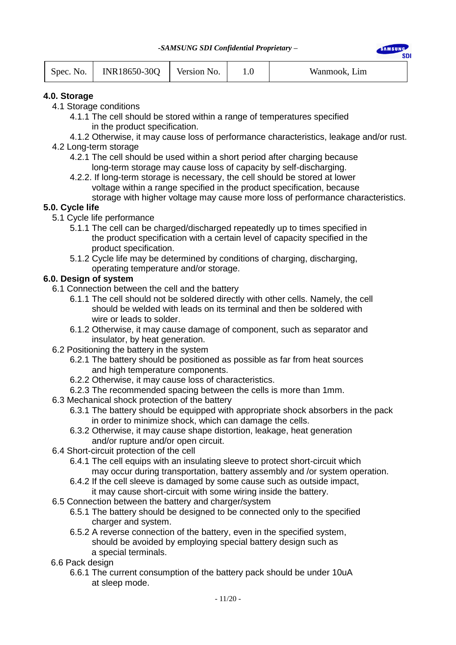**AMSHN** 

| Spec. No. | INR18650-30Q Version No. |  |  | Wanmook, Lim |
|-----------|--------------------------|--|--|--------------|
|-----------|--------------------------|--|--|--------------|

# **4.0. Storage**

- 4.1 Storage conditions
	- 4.1.1 The cell should be stored within a range of temperatures specified in the product specification.
- 4.1.2 Otherwise, it may cause loss of performance characteristics, leakage and/or rust. 4.2 Long-term storage
	- 4.2.1 The cell should be used within a short period after charging because long-term storage may cause loss of capacity by self-discharging.
	- 4.2.2. If long-term storage is necessary, the cell should be stored at lower voltage within a range specified in the product specification, because storage with higher voltage may cause more loss of performance characteristics.

# **5.0. Cycle life**

- 5.1 Cycle life performance
	- 5.1.1 The cell can be charged/discharged repeatedly up to times specified in the product specification with a certain level of capacity specified in the product specification.
	- 5.1.2 Cycle life may be determined by conditions of charging, discharging, operating temperature and/or storage.

# **6.0. Design of system**

- 6.1 Connection between the cell and the battery
	- 6.1.1 The cell should not be soldered directly with other cells. Namely, the cell should be welded with leads on its terminal and then be soldered with wire or leads to solder.
	- 6.1.2 Otherwise, it may cause damage of component, such as separator and insulator, by heat generation.
- 6.2 Positioning the battery in the system
	- 6.2.1 The battery should be positioned as possible as far from heat sources and high temperature components.
	- 6.2.2 Otherwise, it may cause loss of characteristics.
	- 6.2.3 The recommended spacing between the cells is more than 1mm.
- 6.3 Mechanical shock protection of the battery
	- 6.3.1 The battery should be equipped with appropriate shock absorbers in the pack in order to minimize shock, which can damage the cells.
	- 6.3.2 Otherwise, it may cause shape distortion, leakage, heat generation and/or rupture and/or open circuit.
- 6.4 Short-circuit protection of the cell
	- 6.4.1 The cell equips with an insulating sleeve to protect short-circuit which may occur during transportation, battery assembly and /or system operation.
	- 6.4.2 If the cell sleeve is damaged by some cause such as outside impact, it may cause short-circuit with some wiring inside the battery.
- 6.5 Connection between the battery and charger/system
	- 6.5.1 The battery should be designed to be connected only to the specified charger and system.
	- 6.5.2 A reverse connection of the battery, even in the specified system, should be avoided by employing special battery design such as a special terminals.
- 6.6 Pack design
	- 6.6.1 The current consumption of the battery pack should be under 10uA at sleep mode.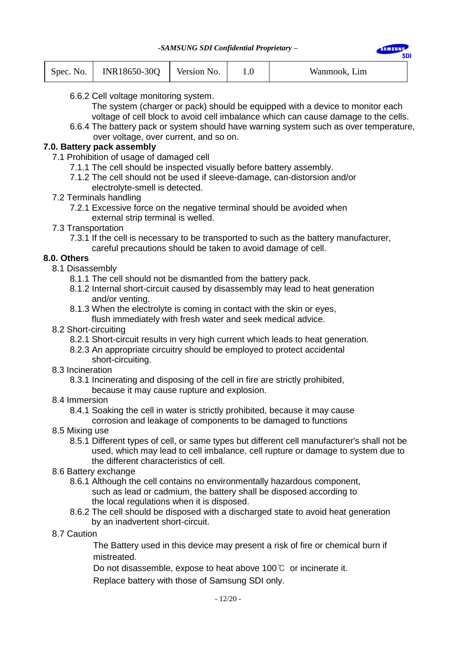| INR18650-30Q<br>Version No.<br>Spec. No. |  | Wanmook, Lim |
|------------------------------------------|--|--------------|
|------------------------------------------|--|--------------|

- 6.6.2 Cell voltage monitoring system.
	- The system (charger or pack) should be equipped with a device to monitor each voltage of cell block to avoid cell imbalance which can cause damage to the cells.

**AMCHN** 

6.6.4 The battery pack or system should have warning system such as over temperature, over voltage, over current, and so on.

# **7.0. Battery pack assembly**

- 7.1 Prohibition of usage of damaged cell
	- 7.1.1 The cell should be inspected visually before battery assembly.
	- 7.1.2 The cell should not be used if sleeve-damage, can-distorsion and/or electrolyte-smell is detected.
- 7.2 Terminals handling
	- 7.2.1 Excessive force on the negative terminal should be avoided when external strip terminal is welled.
- 7.3 Transportation
	- 7.3.1 If the cell is necessary to be transported to such as the battery manufacturer, careful precautions should be taken to avoid damage of cell.

# **8.0. Others**

- 8.1 Disassembly
	- 8.1.1 The cell should not be dismantled from the battery pack.
	- 8.1.2 Internal short-circuit caused by disassembly may lead to heat generation and/or venting.
	- 8.1.3 When the electrolyte is coming in contact with the skin or eyes, flush immediately with fresh water and seek medical advice.
- 8.2 Short-circuiting
	- 8.2.1 Short-circuit results in very high current which leads to heat generation.
	- 8.2.3 An appropriate circuitry should be employed to protect accidental short-circuiting.
- 8.3 Incineration
	- 8.3.1 Incinerating and disposing of the cell in fire are strictly prohibited,
		- because it may cause rupture and explosion.
- 8.4 Immersion

 8.4.1 Soaking the cell in water is strictly prohibited, because it may cause corrosion and leakage of components to be damaged to functions

- 8.5 Mixing use
	- 8.5.1 Different types of cell, or same types but different cell manufacturer's shall not be used, which may lead to cell imbalance, cell rupture or damage to system due to the different characteristics of cell.
- 8.6 Battery exchange
	- 8.6.1 Although the cell contains no environmentally hazardous component, such as lead or cadmium, the battery shall be disposed according to the local regulations when it is disposed.
	- 8.6.2 The cell should be disposed with a discharged state to avoid heat generation by an inadvertent short-circuit.
- 8.7 Caution

The Battery used in this device may present a risk of fire or chemical burn if mistreated.

Do not disassemble, expose to heat above 100℃ or incinerate it.

Replace battery with those of Samsung SDI only.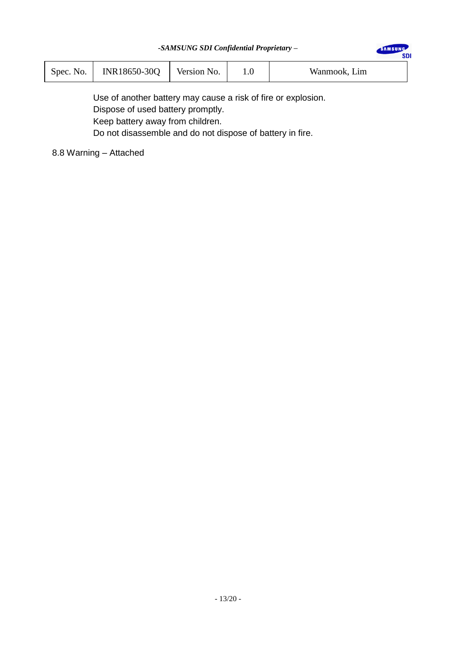SAMSUNG

**SDI** 

| Spec. N<br>N <sub>O</sub> . | INR18650-30Q | Version No. | v | Wanmook, Lim |  |
|-----------------------------|--------------|-------------|---|--------------|--|
|-----------------------------|--------------|-------------|---|--------------|--|

Use of another battery may cause a risk of fire or explosion. Dispose of used battery promptly. Keep battery away from children. Do not disassemble and do not dispose of battery in fire.

8.8 Warning – Attached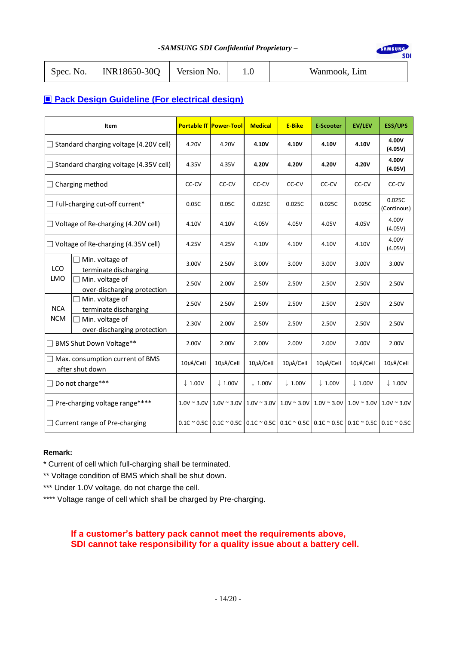SAMSUNG

**SDI** 

| Spec. No. | $N\$ INR18650-30Q Version No. |  |  | Wanmook, Lim |
|-----------|-------------------------------|--|--|--------------|
|-----------|-------------------------------|--|--|--------------|

# ▣ **Pack Design Guideline (For electrical design)**

|                                               | Item                                                      |                    | <b>Portable IT Power-Tool</b>                                                                                                          | <b>Medical</b>     | <b>E-Bike</b>      | <b>E-Scooter</b>                                            | <b>EV/LEV</b>      | <b>ESS/UPS</b>                          |
|-----------------------------------------------|-----------------------------------------------------------|--------------------|----------------------------------------------------------------------------------------------------------------------------------------|--------------------|--------------------|-------------------------------------------------------------|--------------------|-----------------------------------------|
| $\Box$ Standard charging voltage (4.20V cell) |                                                           | 4.20V              | 4.20V                                                                                                                                  | 4.10V              | 4.10V              | 4.10V                                                       | 4.10V              | 4.00V<br>(4.05V)                        |
|                                               | $\Box$ Standard charging voltage (4.35V cell)             | 4.35V              | 4.35V                                                                                                                                  | 4.20V              | 4.20V              | 4.20V                                                       | 4.20V              | 4.00V<br>(4.05V)                        |
|                                               | $\Box$ Charging method                                    | CC-CV              | CC-CV                                                                                                                                  | CC-CV              | CC-CV              | CC-CV                                                       | CC-CV              | CC-CV                                   |
|                                               | □ Full-charging cut-off current*                          | 0.05C              | 0.05C                                                                                                                                  | 0.025C             | 0.025C             | 0.025C                                                      | 0.025C             | 0.025C<br>(Continous)                   |
| $\Box$ Voltage of Re-charging (4.20V cell)    |                                                           | 4.10V              | 4.10V                                                                                                                                  | 4.05V              | 4.05V              | 4.05V                                                       | 4.05V              | 4.00V<br>(4.05V)                        |
|                                               | $\Box$ Voltage of Re-charging (4.35V cell)                | 4.25V              | 4.25V                                                                                                                                  | 4.10V              | 4.10V              | 4.10V                                                       | 4.10V              | 4.00V<br>(4.05V)                        |
| <b>LCO</b>                                    | □ Min. voltage of<br>terminate discharging                | 3.00V              | 2.50V                                                                                                                                  | 3.00V              | 3.00V              | 3.00V                                                       | 3.00V              | 3.00V                                   |
| <b>LMO</b>                                    | Min. voltage of<br>over-discharging protection            | 2.50V              | 2.00V                                                                                                                                  | 2.50V              | 2.50V              | 2.50V                                                       | 2.50V              | 2.50V                                   |
| <b>NCA</b>                                    | Min. voltage of<br>terminate discharging                  | 2.50V              | 2.50V                                                                                                                                  | 2.50V              | 2.50V              | 2.50V                                                       | 2.50V              | 2.50V                                   |
| <b>NCM</b>                                    | $\Box$ Min. voltage of<br>over-discharging protection     | 2.30V              | 2.00V                                                                                                                                  | 2.50V              | 2.50V              | 2.50V                                                       | 2.50V              | 2.50V                                   |
|                                               | BMS Shut Down Voltage**                                   | 2.00V              | 2.00V                                                                                                                                  | 2.00V              | 2.00V              | 2.00V                                                       | 2.00V              | 2.00V                                   |
|                                               | $\Box$ Max. consumption current of BMS<br>after shut down | $10\mu$ A/Cell     | $10\mu$ A/Cell                                                                                                                         | $10\mu$ A/Cell     | $10\mu$ A/Cell     | $10\mu$ A/Cell                                              | 10µA/Cell          | $10\mu$ A/Cell                          |
| П                                             | Do not charge***                                          | $\downarrow$ 1.00V | $\downarrow$ 1.00V                                                                                                                     | $\downarrow$ 1.00V | $\downarrow$ 1.00V | $\downarrow$ 1.00V                                          | $\downarrow$ 1.00V | $\downarrow$ 1.00V                      |
| □ Pre-charging voltage range****              |                                                           | $1.0V \sim 3.0V$   | $1.0V \sim 3.0V$                                                                                                                       |                    |                    | $1.0V \approx 3.0V$ $1.0V \approx 3.0V$ $1.0V \approx 3.0V$ |                    | $1.0V \approx 3.0V$ 1.0V $\approx 3.0V$ |
|                                               | $\Box$ Current range of Pre-charging                      |                    | $0.1$ C ~ 0.5C $\vert$ 0.1C ~ 0.5C $\vert$ 0.1C ~ 0.5C $\vert$ 0.1C ~ 0.5C $\vert$ 0.1C ~ 0.5C $\vert$ 0.1C ~ 0.5C $\vert$ 0.1C ~ 0.5C |                    |                    |                                                             |                    |                                         |

#### **Remark:**

\* Current of cell which full-charging shall be terminated.

\*\* Voltage condition of BMS which shall be shut down.

- \*\*\* Under 1.0V voltage, do not charge the cell.
- \*\*\*\* Voltage range of cell which shall be charged by Pre-charging.

# **If a customer's battery pack cannot meet the requirements above, SDI cannot take responsibility for a quality issue about a battery cell.**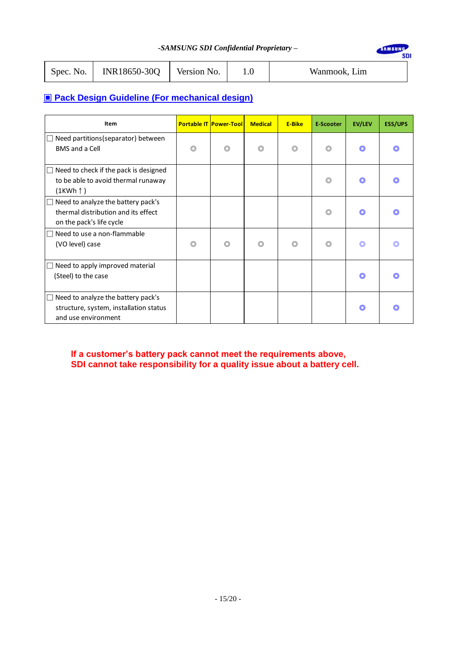SAMSUNG

SDI

| Spec. No. | $\mid$ INR18650-30Q | Version No. |  | Wanmook, Lim |
|-----------|---------------------|-------------|--|--------------|
|-----------|---------------------|-------------|--|--------------|

# ▣ **Pack Design Guideline (For mechanical design)**

| Item                                                                                                            |                | <b>Portable IT Power-Tool</b> | <b>Medical</b> | <b>E-Bike</b>  | <b>E-Scooter</b> | <b>EV/LEV</b>  | <b>ESS/UPS</b> |
|-----------------------------------------------------------------------------------------------------------------|----------------|-------------------------------|----------------|----------------|------------------|----------------|----------------|
| Need partitions (separator) between<br>$\perp$<br><b>BMS</b> and a Cell                                         | $\circledcirc$ | $\circledcirc$                | ◎              | $\circledcirc$ | $\circledcirc$   | $\circledcirc$ |                |
| $\Box$ Need to check if the pack is designed<br>to be able to avoid thermal runaway<br>(1KWh ↑)                 |                |                               |                |                | $\circledcirc$   | O              |                |
| Need to analyze the battery pack's<br>$\Box$<br>thermal distribution and its effect<br>on the pack's life cycle |                |                               |                |                | $\circledcirc$   | O              |                |
| Need to use a non-flammable<br>$\Box$<br>(VO level) case                                                        | $\circledcirc$ | $\circledcirc$                | ◎              | $\circledcirc$ | $\circledcirc$   | ◎              |                |
| Need to apply improved material<br>$\Box$<br>(Steel) to the case                                                |                |                               |                |                |                  | O              |                |
| $\Box$ Need to analyze the battery pack's<br>structure, system, installation status<br>and use environment      |                |                               |                |                |                  | O              |                |

**If a customer's battery pack cannot meet the requirements above, SDI cannot take responsibility for a quality issue about a battery cell.**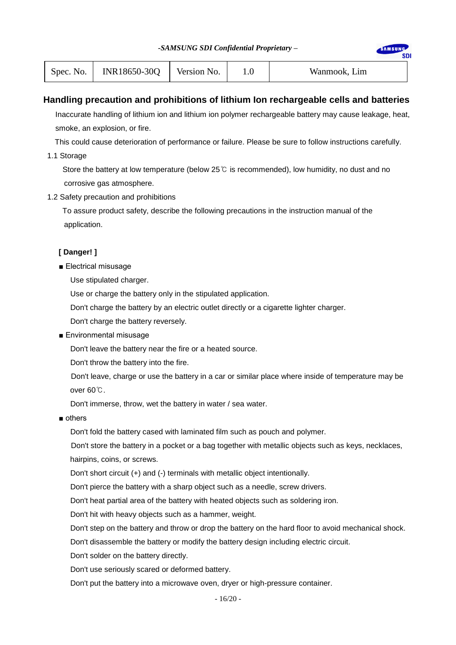| -SAMSUNG SDI Confidential Proprietary - |  |  |
|-----------------------------------------|--|--|
|-----------------------------------------|--|--|

| Spec. No. | INR18650-30Q | Version No. | $1.0\,$ | Wanmook, Lim |
|-----------|--------------|-------------|---------|--------------|
|-----------|--------------|-------------|---------|--------------|

# **Handling precaution and prohibitions of lithium Ion rechargeable cells and batteries**

Inaccurate handling of lithium ion and lithium ion polymer rechargeable battery may cause leakage, heat, smoke, an explosion, or fire.

This could cause deterioration of performance or failure. Please be sure to follow instructions carefully.

1.1 Storage

Store the battery at low temperature (below 25 $\degree$  is recommended), low humidity, no dust and no corrosive gas atmosphere.

1.2 Safety precaution and prohibitions

 To assure product safety, describe the following precautions in the instruction manual of the application.

### **[ Danger! ]**

■ Electrical misusage

Use stipulated charger.

Use or charge the battery only in the stipulated application.

Don't charge the battery by an electric outlet directly or a cigarette lighter charger.

Don't charge the battery reversely.

■ Environmental misusage

Don't leave the battery near the fire or a heated source.

Don't throw the battery into the fire.

Don't leave, charge or use the battery in a car or similar place where inside of temperature may be over 60℃.

Don't immerse, throw, wet the battery in water / sea water.

■ others

Don't fold the battery cased with laminated film such as pouch and polymer.

Don't store the battery in a pocket or a bag together with metallic objects such as keys, necklaces, hairpins, coins, or screws.

Don't short circuit (+) and (-) terminals with metallic object intentionally.

Don't pierce the battery with a sharp object such as a needle, screw drivers.

Don't heat partial area of the battery with heated objects such as soldering iron.

Don't hit with heavy objects such as a hammer, weight.

Don't step on the battery and throw or drop the battery on the hard floor to avoid mechanical shock.

Don't disassemble the battery or modify the battery design including electric circuit.

Don't solder on the battery directly.

Don't use seriously scared or deformed battery.

Don't put the battery into a microwave oven, dryer or high-pressure container.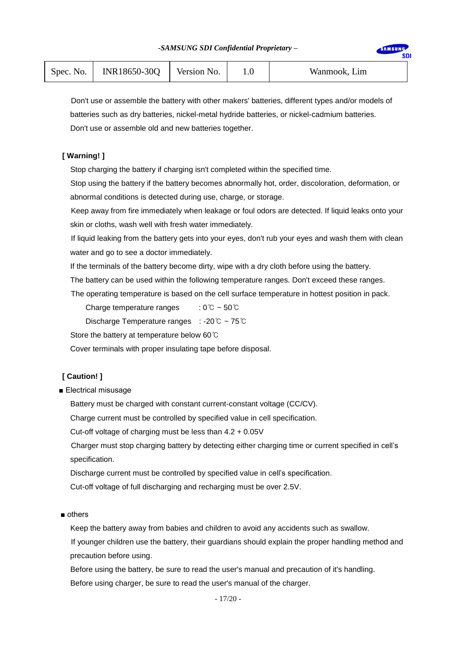| Spec. No. | INR18650-30Q | Version No. | Wanmook, Lim |
|-----------|--------------|-------------|--------------|

**MSUN SDI** 

Don't use or assemble the battery with other makers' batteries, different types and/or models of batteries such as dry batteries, nickel-metal hydride batteries, or nickel-cadmium batteries. Don't use or assemble old and new batteries together.

### **[ Warning! ]**

Stop charging the battery if charging isn't completed within the specified time.

Stop using the battery if the battery becomes abnormally hot, order, discoloration, deformation, or abnormal conditions is detected during use, charge, or storage.

Keep away from fire immediately when leakage or foul odors are detected. If liquid leaks onto your skin or cloths, wash well with fresh water immediately.

If liquid leaking from the battery gets into your eyes, don't rub your eyes and wash them with clean water and go to see a doctor immediately.

If the terminals of the battery become dirty, wipe with a dry cloth before using the battery.

The battery can be used within the following temperature ranges. Don't exceed these ranges.

The operating temperature is based on the cell surface temperature in hottest position in pack.

Charge temperature ranges :  $0^{\circ}$   $\sim$   $50^{\circ}$ 

Discharge Temperature ranges : -20℃ ~ 75℃

Store the battery at temperature below 60℃

Cover terminals with proper insulating tape before disposal.

# **[ Caution! ]**

■ Electrical misusage

Battery must be charged with constant current-constant voltage (CC/CV).

Charge current must be controlled by specified value in cell specification.

Cut-off voltage of charging must be less than 4.2 + 0.05V

Charger must stop charging battery by detecting either charging time or current specified in cell's specification.

Discharge current must be controlled by specified value in cell's specification.

Cut-off voltage of full discharging and recharging must be over 2.5V.

■ others

Keep the battery away from babies and children to avoid any accidents such as swallow.

If younger children use the battery, their guardians should explain the proper handling method and precaution before using.

 Before using the battery, be sure to read the user's manual and precaution of it's handling. Before using charger, be sure to read the user's manual of the charger.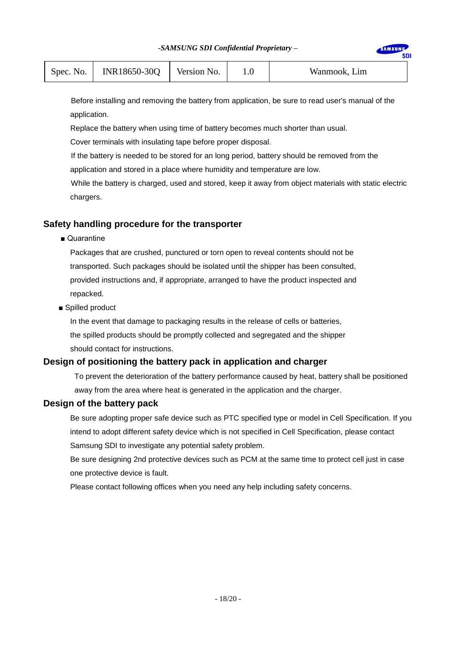| INR18650-30Q<br>Version No.<br>Spec. No. $\vert \cdot \vert$ |  | Wanmook, Lim |
|--------------------------------------------------------------|--|--------------|
|--------------------------------------------------------------|--|--------------|

Before installing and removing the battery from application, be sure to read user's manual of the application.

Replace the battery when using time of battery becomes much shorter than usual.

Cover terminals with insulating tape before proper disposal.

If the battery is needed to be stored for an long period, battery should be removed from the application and stored in a place where humidity and temperature are low.

While the battery is charged, used and stored, keep it away from object materials with static electric chargers.

# **Safety handling procedure for the transporter**

■ Quarantine

Packages that are crushed, punctured or torn open to reveal contents should not be transported. Such packages should be isolated until the shipper has been consulted, provided instructions and, if appropriate, arranged to have the product inspected and repacked.

■ Spilled product

In the event that damage to packaging results in the release of cells or batteries, the spilled products should be promptly collected and segregated and the shipper should contact for instructions.

### **Design of positioning the battery pack in application and charger**

To prevent the deterioration of the battery performance caused by heat, battery shall be positioned away from the area where heat is generated in the application and the charger.

### **Design of the battery pack**

Be sure adopting proper safe device such as PTC specified type or model in Cell Specification. If you intend to adopt different safety device which is not specified in Cell Specification, please contact Samsung SDI to investigate any potential safety problem.

Be sure designing 2nd protective devices such as PCM at the same time to protect cell just in case one protective device is fault.

Please contact following offices when you need any help including safety concerns.